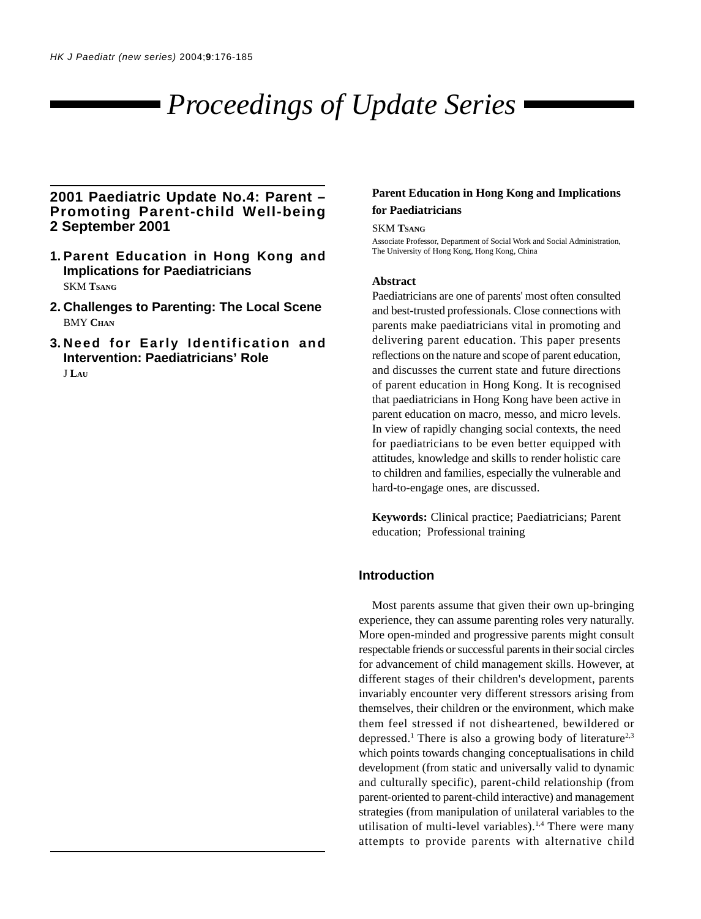# *Proceedings of Update Series*

# **2001 Paediatric Update No.4: Parent – Promoting Parent-child Well-being 2 September 2001**

- **1. Parent Education in Hong Kong and Implications for Paediatricians** SKM **TSANG**
- **2. Challenges to Parenting: The Local Scene BMY CHAN**
- **3. Need for Early Identification and Intervention: Paediatricians' Role** J **LAU**

## **Parent Education in Hong Kong and Implications for Paediatricians**

#### SKM **TSANG**

Associate Professor, Department of Social Work and Social Administration, The University of Hong Kong, Hong Kong, China

#### **Abstract**

Paediatricians are one of parents' most often consulted and best-trusted professionals. Close connections with parents make paediatricians vital in promoting and delivering parent education. This paper presents reflections on the nature and scope of parent education, and discusses the current state and future directions of parent education in Hong Kong. It is recognised that paediatricians in Hong Kong have been active in parent education on macro, messo, and micro levels. In view of rapidly changing social contexts, the need for paediatricians to be even better equipped with attitudes, knowledge and skills to render holistic care to children and families, especially the vulnerable and hard-to-engage ones, are discussed.

**Keywords:** Clinical practice; Paediatricians; Parent education; Professional training

## **Introduction**

Most parents assume that given their own up-bringing experience, they can assume parenting roles very naturally. More open-minded and progressive parents might consult respectable friends or successful parents in their social circles for advancement of child management skills. However, at different stages of their children's development, parents invariably encounter very different stressors arising from themselves, their children or the environment, which make them feel stressed if not disheartened, bewildered or depressed.<sup>1</sup> There is also a growing body of literature<sup>2,3</sup> which points towards changing conceptualisations in child development (from static and universally valid to dynamic and culturally specific), parent-child relationship (from parent-oriented to parent-child interactive) and management strategies (from manipulation of unilateral variables to the utilisation of multi-level variables).<sup>1,4</sup> There were many attempts to provide parents with alternative child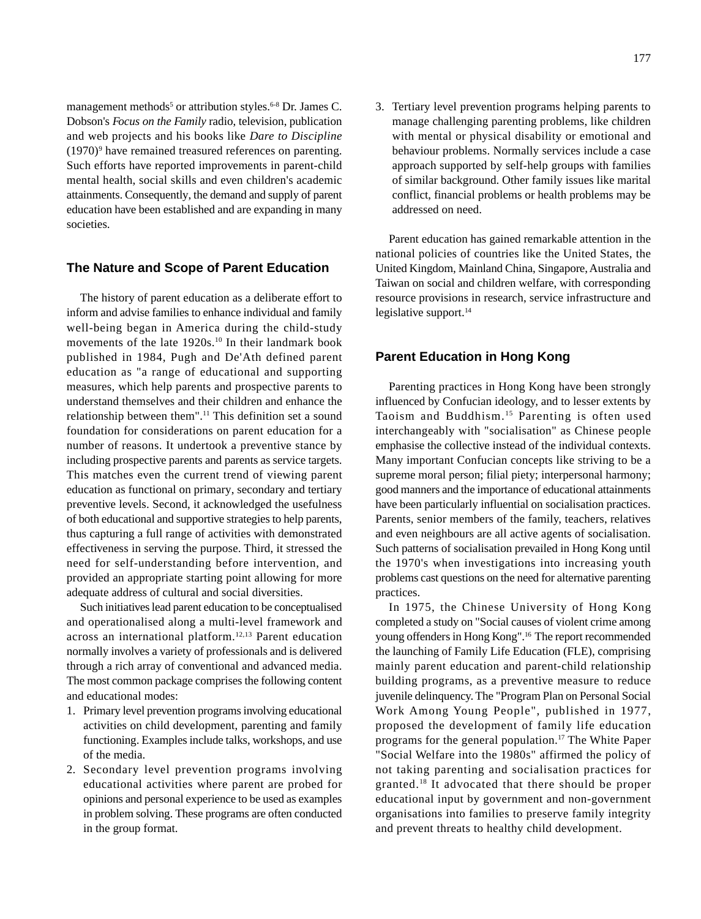management methods<sup>5</sup> or attribution styles.<sup>6-8</sup> Dr. James C. Dobson's *Focus on the Family* radio, television, publication and web projects and his books like *Dare to Discipline* (1970)<sup>9</sup> have remained treasured references on parenting. Such efforts have reported improvements in parent-child mental health, social skills and even children's academic attainments. Consequently, the demand and supply of parent education have been established and are expanding in many societies.

### **The Nature and Scope of Parent Education**

The history of parent education as a deliberate effort to inform and advise families to enhance individual and family well-being began in America during the child-study movements of the late 1920s.<sup>10</sup> In their landmark book published in 1984, Pugh and De'Ath defined parent education as "a range of educational and supporting measures, which help parents and prospective parents to understand themselves and their children and enhance the relationship between them".11 This definition set a sound foundation for considerations on parent education for a number of reasons. It undertook a preventive stance by including prospective parents and parents as service targets. This matches even the current trend of viewing parent education as functional on primary, secondary and tertiary preventive levels. Second, it acknowledged the usefulness of both educational and supportive strategies to help parents, thus capturing a full range of activities with demonstrated effectiveness in serving the purpose. Third, it stressed the need for self-understanding before intervention, and provided an appropriate starting point allowing for more adequate address of cultural and social diversities.

Such initiatives lead parent education to be conceptualised and operationalised along a multi-level framework and across an international platform.12,13 Parent education normally involves a variety of professionals and is delivered through a rich array of conventional and advanced media. The most common package comprises the following content and educational modes:

- 1. Primary level prevention programs involving educational activities on child development, parenting and family functioning. Examples include talks, workshops, and use of the media.
- 2. Secondary level prevention programs involving educational activities where parent are probed for opinions and personal experience to be used as examples in problem solving. These programs are often conducted in the group format.
- 177
- 3. Tertiary level prevention programs helping parents to manage challenging parenting problems, like children with mental or physical disability or emotional and behaviour problems. Normally services include a case approach supported by self-help groups with families of similar background. Other family issues like marital conflict, financial problems or health problems may be addressed on need.

Parent education has gained remarkable attention in the national policies of countries like the United States, the United Kingdom, Mainland China, Singapore, Australia and Taiwan on social and children welfare, with corresponding resource provisions in research, service infrastructure and legislative support.<sup>14</sup>

# **Parent Education in Hong Kong**

Parenting practices in Hong Kong have been strongly influenced by Confucian ideology, and to lesser extents by Taoism and Buddhism. 15 Parenting is often used interchangeably with "socialisation" as Chinese people emphasise the collective instead of the individual contexts. Many important Confucian concepts like striving to be a supreme moral person; filial piety; interpersonal harmony; good manners and the importance of educational attainments have been particularly influential on socialisation practices. Parents, senior members of the family, teachers, relatives and even neighbours are all active agents of socialisation. Such patterns of socialisation prevailed in Hong Kong until the 1970's when investigations into increasing youth problems cast questions on the need for alternative parenting practices.

In 1975, the Chinese University of Hong Kong completed a study on "Social causes of violent crime among young offenders in Hong Kong".<sup>16</sup> The report recommended the launching of Family Life Education (FLE), comprising mainly parent education and parent-child relationship building programs, as a preventive measure to reduce juvenile delinquency. The "Program Plan on Personal Social Work Among Young People", published in 1977, proposed the development of family life education programs for the general population.17 The White Paper "Social Welfare into the 1980s" affirmed the policy of not taking parenting and socialisation practices for granted.18 It advocated that there should be proper educational input by government and non-government organisations into families to preserve family integrity and prevent threats to healthy child development.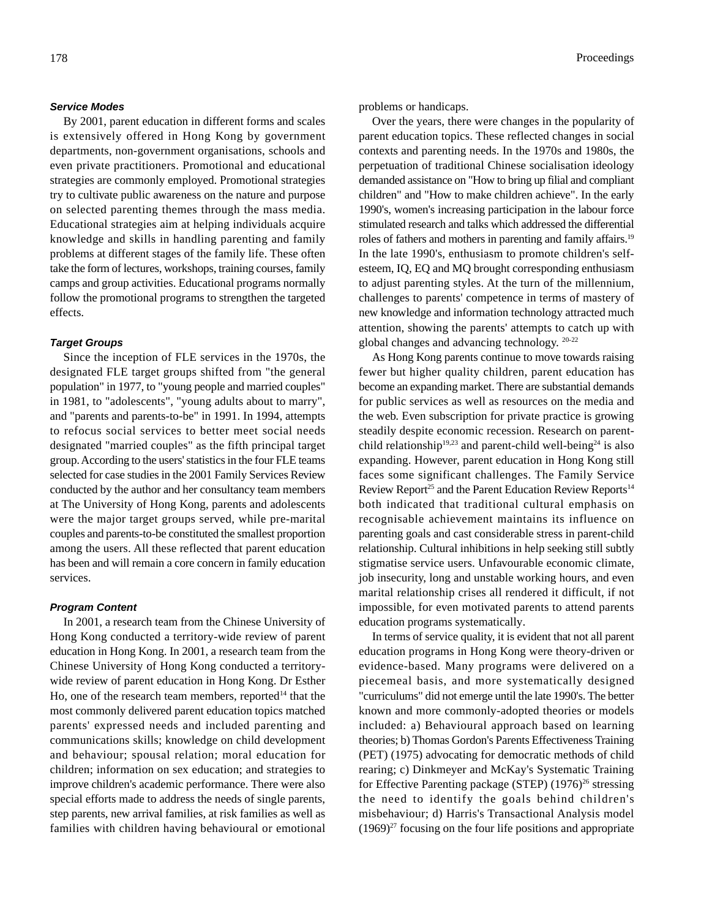#### *Service Modes*

By 2001, parent education in different forms and scales is extensively offered in Hong Kong by government departments, non-government organisations, schools and even private practitioners. Promotional and educational strategies are commonly employed. Promotional strategies try to cultivate public awareness on the nature and purpose on selected parenting themes through the mass media. Educational strategies aim at helping individuals acquire knowledge and skills in handling parenting and family problems at different stages of the family life. These often take the form of lectures, workshops, training courses, family camps and group activities. Educational programs normally follow the promotional programs to strengthen the targeted effects.

#### *Target Groups*

Since the inception of FLE services in the 1970s, the designated FLE target groups shifted from "the general population" in 1977, to "young people and married couples" in 1981, to "adolescents", "young adults about to marry", and "parents and parents-to-be" in 1991. In 1994, attempts to refocus social services to better meet social needs designated "married couples" as the fifth principal target group. According to the users' statistics in the four FLE teams selected for case studies in the 2001 Family Services Review conducted by the author and her consultancy team members at The University of Hong Kong, parents and adolescents were the major target groups served, while pre-marital couples and parents-to-be constituted the smallest proportion among the users. All these reflected that parent education has been and will remain a core concern in family education services.

#### *Program Content*

In 2001, a research team from the Chinese University of Hong Kong conducted a territory-wide review of parent education in Hong Kong. In 2001, a research team from the Chinese University of Hong Kong conducted a territorywide review of parent education in Hong Kong. Dr Esther Ho, one of the research team members, reported<sup>14</sup> that the most commonly delivered parent education topics matched parents' expressed needs and included parenting and communications skills; knowledge on child development and behaviour; spousal relation; moral education for children; information on sex education; and strategies to improve children's academic performance. There were also special efforts made to address the needs of single parents, step parents, new arrival families, at risk families as well as families with children having behavioural or emotional

problems or handicaps.

Over the years, there were changes in the popularity of parent education topics. These reflected changes in social contexts and parenting needs. In the 1970s and 1980s, the perpetuation of traditional Chinese socialisation ideology demanded assistance on "How to bring up filial and compliant children" and "How to make children achieve". In the early 1990's, women's increasing participation in the labour force stimulated research and talks which addressed the differential roles of fathers and mothers in parenting and family affairs.19 In the late 1990's, enthusiasm to promote children's selfesteem, IQ, EQ and MQ brought corresponding enthusiasm to adjust parenting styles. At the turn of the millennium, challenges to parents' competence in terms of mastery of new knowledge and information technology attracted much attention, showing the parents' attempts to catch up with global changes and advancing technology. 20-22

As Hong Kong parents continue to move towards raising fewer but higher quality children, parent education has become an expanding market. There are substantial demands for public services as well as resources on the media and the web. Even subscription for private practice is growing steadily despite economic recession. Research on parentchild relationship<sup>19,23</sup> and parent-child well-being<sup>24</sup> is also expanding. However, parent education in Hong Kong still faces some significant challenges. The Family Service Review Report<sup>25</sup> and the Parent Education Review Reports<sup>14</sup> both indicated that traditional cultural emphasis on recognisable achievement maintains its influence on parenting goals and cast considerable stress in parent-child relationship. Cultural inhibitions in help seeking still subtly stigmatise service users. Unfavourable economic climate, job insecurity, long and unstable working hours, and even marital relationship crises all rendered it difficult, if not impossible, for even motivated parents to attend parents education programs systematically.

In terms of service quality, it is evident that not all parent education programs in Hong Kong were theory-driven or evidence-based. Many programs were delivered on a piecemeal basis, and more systematically designed "curriculums" did not emerge until the late 1990's. The better known and more commonly-adopted theories or models included: a) Behavioural approach based on learning theories; b) Thomas Gordon's Parents Effectiveness Training (PET) (1975) advocating for democratic methods of child rearing; c) Dinkmeyer and McKay's Systematic Training for Effective Parenting package (STEP)  $(1976)^{26}$  stressing the need to identify the goals behind children's misbehaviour; d) Harris's Transactional Analysis model  $(1969)^{27}$  focusing on the four life positions and appropriate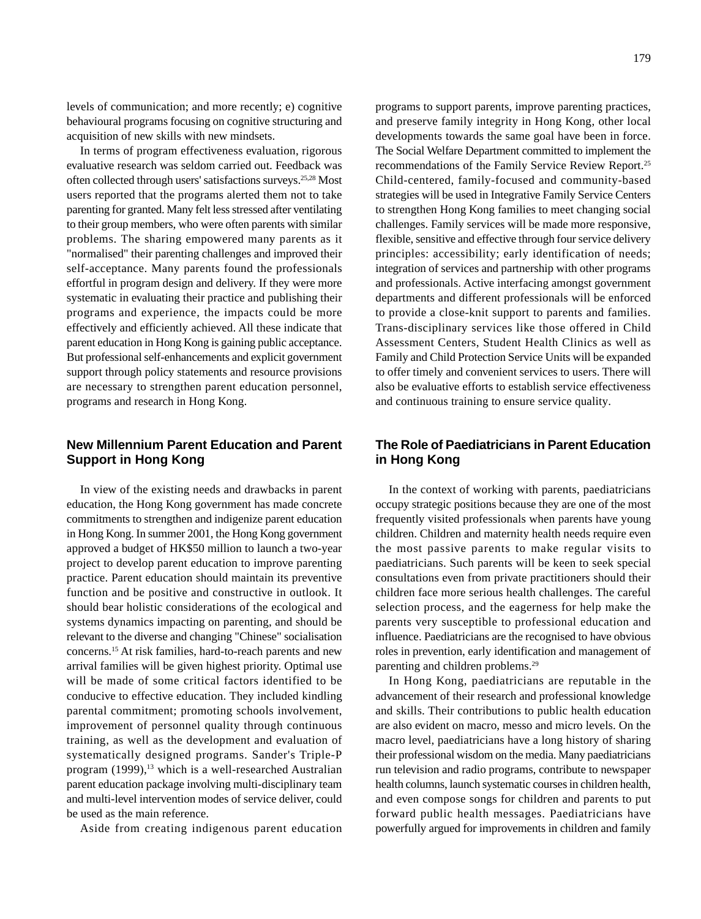levels of communication; and more recently; e) cognitive behavioural programs focusing on cognitive structuring and acquisition of new skills with new mindsets.

In terms of program effectiveness evaluation, rigorous evaluative research was seldom carried out. Feedback was often collected through users' satisfactions surveys.25,28 Most users reported that the programs alerted them not to take parenting for granted. Many felt less stressed after ventilating to their group members, who were often parents with similar problems. The sharing empowered many parents as it "normalised" their parenting challenges and improved their self-acceptance. Many parents found the professionals effortful in program design and delivery. If they were more systematic in evaluating their practice and publishing their programs and experience, the impacts could be more effectively and efficiently achieved. All these indicate that parent education in Hong Kong is gaining public acceptance. But professional self-enhancements and explicit government support through policy statements and resource provisions are necessary to strengthen parent education personnel, programs and research in Hong Kong.

# **New Millennium Parent Education and Parent Support in Hong Kong**

In view of the existing needs and drawbacks in parent education, the Hong Kong government has made concrete commitments to strengthen and indigenize parent education in Hong Kong. In summer 2001, the Hong Kong government approved a budget of HK\$50 million to launch a two-year project to develop parent education to improve parenting practice. Parent education should maintain its preventive function and be positive and constructive in outlook. It should bear holistic considerations of the ecological and systems dynamics impacting on parenting, and should be relevant to the diverse and changing "Chinese" socialisation concerns.15 At risk families, hard-to-reach parents and new arrival families will be given highest priority. Optimal use will be made of some critical factors identified to be conducive to effective education. They included kindling parental commitment; promoting schools involvement, improvement of personnel quality through continuous training, as well as the development and evaluation of systematically designed programs. Sander's Triple-P program (1999),<sup>13</sup> which is a well-researched Australian parent education package involving multi-disciplinary team and multi-level intervention modes of service deliver, could be used as the main reference.

Aside from creating indigenous parent education

programs to support parents, improve parenting practices, and preserve family integrity in Hong Kong, other local developments towards the same goal have been in force. The Social Welfare Department committed to implement the recommendations of the Family Service Review Report.25 Child-centered, family-focused and community-based strategies will be used in Integrative Family Service Centers to strengthen Hong Kong families to meet changing social challenges. Family services will be made more responsive, flexible, sensitive and effective through four service delivery principles: accessibility; early identification of needs; integration of services and partnership with other programs and professionals. Active interfacing amongst government departments and different professionals will be enforced to provide a close-knit support to parents and families. Trans-disciplinary services like those offered in Child Assessment Centers, Student Health Clinics as well as Family and Child Protection Service Units will be expanded to offer timely and convenient services to users. There will also be evaluative efforts to establish service effectiveness and continuous training to ensure service quality.

# **The Role of Paediatricians in Parent Education in Hong Kong**

In the context of working with parents, paediatricians occupy strategic positions because they are one of the most frequently visited professionals when parents have young children. Children and maternity health needs require even the most passive parents to make regular visits to paediatricians. Such parents will be keen to seek special consultations even from private practitioners should their children face more serious health challenges. The careful selection process, and the eagerness for help make the parents very susceptible to professional education and influence. Paediatricians are the recognised to have obvious roles in prevention, early identification and management of parenting and children problems.29

In Hong Kong, paediatricians are reputable in the advancement of their research and professional knowledge and skills. Their contributions to public health education are also evident on macro, messo and micro levels. On the macro level, paediatricians have a long history of sharing their professional wisdom on the media. Many paediatricians run television and radio programs, contribute to newspaper health columns, launch systematic courses in children health, and even compose songs for children and parents to put forward public health messages. Paediatricians have powerfully argued for improvements in children and family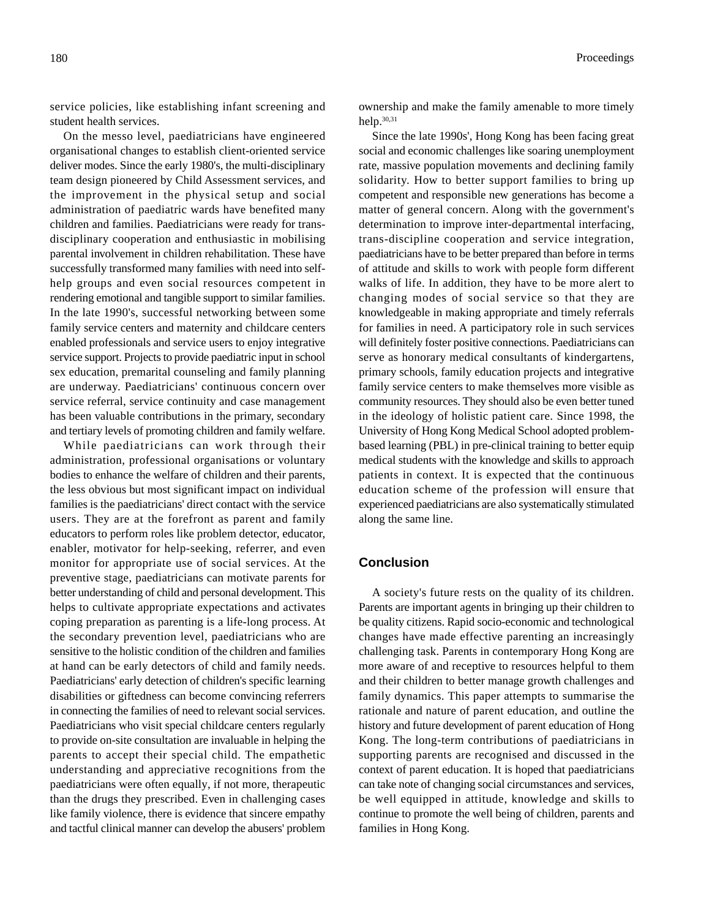service policies, like establishing infant screening and student health services.

On the messo level, paediatricians have engineered organisational changes to establish client-oriented service deliver modes. Since the early 1980's, the multi-disciplinary team design pioneered by Child Assessment services, and the improvement in the physical setup and social administration of paediatric wards have benefited many children and families. Paediatricians were ready for transdisciplinary cooperation and enthusiastic in mobilising parental involvement in children rehabilitation. These have successfully transformed many families with need into selfhelp groups and even social resources competent in rendering emotional and tangible support to similar families. In the late 1990's, successful networking between some family service centers and maternity and childcare centers enabled professionals and service users to enjoy integrative service support. Projects to provide paediatric input in school sex education, premarital counseling and family planning are underway. Paediatricians' continuous concern over service referral, service continuity and case management has been valuable contributions in the primary, secondary and tertiary levels of promoting children and family welfare.

While paediatricians can work through their administration, professional organisations or voluntary bodies to enhance the welfare of children and their parents, the less obvious but most significant impact on individual families is the paediatricians' direct contact with the service users. They are at the forefront as parent and family educators to perform roles like problem detector, educator, enabler, motivator for help-seeking, referrer, and even monitor for appropriate use of social services. At the preventive stage, paediatricians can motivate parents for better understanding of child and personal development. This helps to cultivate appropriate expectations and activates coping preparation as parenting is a life-long process. At the secondary prevention level, paediatricians who are sensitive to the holistic condition of the children and families at hand can be early detectors of child and family needs. Paediatricians' early detection of children's specific learning disabilities or giftedness can become convincing referrers in connecting the families of need to relevant social services. Paediatricians who visit special childcare centers regularly to provide on-site consultation are invaluable in helping the parents to accept their special child. The empathetic understanding and appreciative recognitions from the paediatricians were often equally, if not more, therapeutic than the drugs they prescribed. Even in challenging cases like family violence, there is evidence that sincere empathy and tactful clinical manner can develop the abusers' problem

180 Proceedings **Proceedings** 

ownership and make the family amenable to more timely help.30,31

Since the late 1990s', Hong Kong has been facing great social and economic challenges like soaring unemployment rate, massive population movements and declining family solidarity. How to better support families to bring up competent and responsible new generations has become a matter of general concern. Along with the government's determination to improve inter-departmental interfacing, trans-discipline cooperation and service integration, paediatricians have to be better prepared than before in terms of attitude and skills to work with people form different walks of life. In addition, they have to be more alert to changing modes of social service so that they are knowledgeable in making appropriate and timely referrals for families in need. A participatory role in such services will definitely foster positive connections. Paediatricians can serve as honorary medical consultants of kindergartens, primary schools, family education projects and integrative family service centers to make themselves more visible as community resources. They should also be even better tuned in the ideology of holistic patient care. Since 1998, the University of Hong Kong Medical School adopted problembased learning (PBL) in pre-clinical training to better equip medical students with the knowledge and skills to approach patients in context. It is expected that the continuous education scheme of the profession will ensure that experienced paediatricians are also systematically stimulated along the same line.

## **Conclusion**

A society's future rests on the quality of its children. Parents are important agents in bringing up their children to be quality citizens. Rapid socio-economic and technological changes have made effective parenting an increasingly challenging task. Parents in contemporary Hong Kong are more aware of and receptive to resources helpful to them and their children to better manage growth challenges and family dynamics. This paper attempts to summarise the rationale and nature of parent education, and outline the history and future development of parent education of Hong Kong. The long-term contributions of paediatricians in supporting parents are recognised and discussed in the context of parent education. It is hoped that paediatricians can take note of changing social circumstances and services, be well equipped in attitude, knowledge and skills to continue to promote the well being of children, parents and families in Hong Kong.